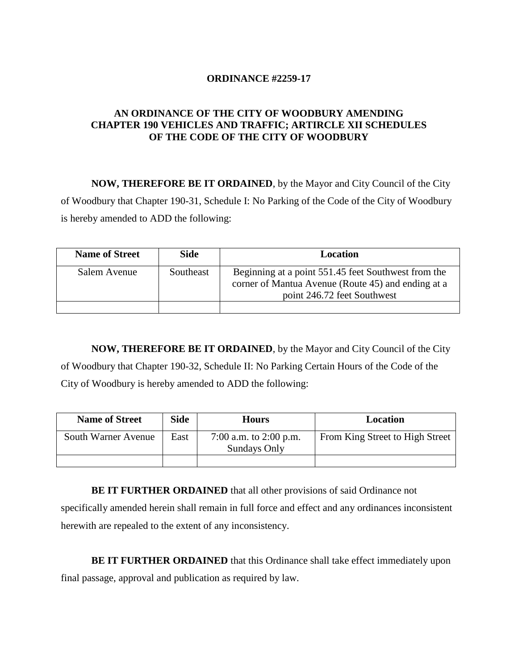## **ORDINANCE #2259-17**

## **AN ORDINANCE OF THE CITY OF WOODBURY AMENDING CHAPTER 190 VEHICLES AND TRAFFIC; ARTIRCLE XII SCHEDULES OF THE CODE OF THE CITY OF WOODBURY**

**NOW, THEREFORE BE IT ORDAINED**, by the Mayor and City Council of the City of Woodbury that Chapter 190-31, Schedule I: No Parking of the Code of the City of Woodbury is hereby amended to ADD the following:

| <b>Name of Street</b> | <b>Side</b> | Location                                                                                                                                 |
|-----------------------|-------------|------------------------------------------------------------------------------------------------------------------------------------------|
| Salem Avenue          | Southeast   | Beginning at a point 551.45 feet Southwest from the<br>corner of Mantua Avenue (Route 45) and ending at a<br>point 246.72 feet Southwest |
|                       |             |                                                                                                                                          |

**NOW, THEREFORE BE IT ORDAINED**, by the Mayor and City Council of the City of Woodbury that Chapter 190-32, Schedule II: No Parking Certain Hours of the Code of the City of Woodbury is hereby amended to ADD the following:

| <b>Name of Street</b> | <b>Side</b> | <b>Hours</b>                           | <b>Location</b>                 |
|-----------------------|-------------|----------------------------------------|---------------------------------|
| South Warner Avenue   | East        | 7:00 a.m. to 2:00 p.m.<br>Sundays Only | From King Street to High Street |
|                       |             |                                        |                                 |

**BE IT FURTHER ORDAINED** that all other provisions of said Ordinance not specifically amended herein shall remain in full force and effect and any ordinances inconsistent herewith are repealed to the extent of any inconsistency.

**BE IT FURTHER ORDAINED** that this Ordinance shall take effect immediately upon final passage, approval and publication as required by law.